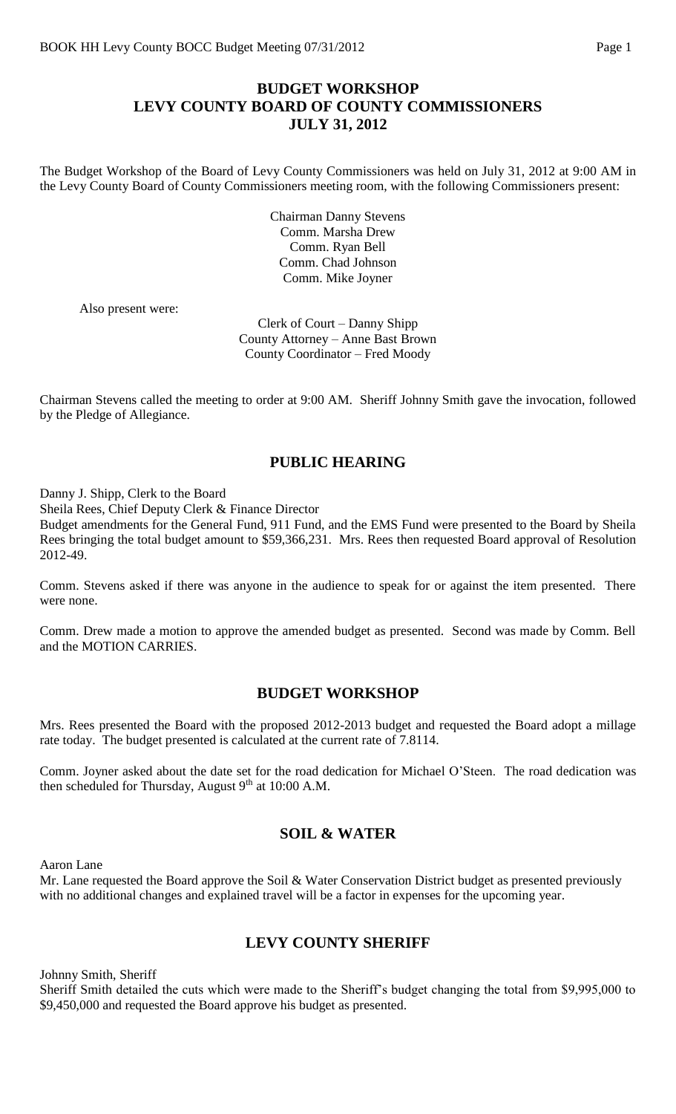## **BUDGET WORKSHOP LEVY COUNTY BOARD OF COUNTY COMMISSIONERS JULY 31, 2012**

The Budget Workshop of the Board of Levy County Commissioners was held on July 31, 2012 at 9:00 AM in the Levy County Board of County Commissioners meeting room, with the following Commissioners present:

> Chairman Danny Stevens Comm. Marsha Drew Comm. Ryan Bell Comm. Chad Johnson Comm. Mike Joyner

Also present were:

Clerk of Court – Danny Shipp County Attorney – Anne Bast Brown County Coordinator – Fred Moody

Chairman Stevens called the meeting to order at 9:00 AM. Sheriff Johnny Smith gave the invocation, followed by the Pledge of Allegiance.

## **PUBLIC HEARING**

Danny J. Shipp, Clerk to the Board

Sheila Rees, Chief Deputy Clerk & Finance Director

Budget amendments for the General Fund, 911 Fund, and the EMS Fund were presented to the Board by Sheila Rees bringing the total budget amount to \$59,366,231. Mrs. Rees then requested Board approval of Resolution 2012-49.

Comm. Stevens asked if there was anyone in the audience to speak for or against the item presented. There were none.

Comm. Drew made a motion to approve the amended budget as presented. Second was made by Comm. Bell and the MOTION CARRIES.

## **BUDGET WORKSHOP**

Mrs. Rees presented the Board with the proposed 2012-2013 budget and requested the Board adopt a millage rate today. The budget presented is calculated at the current rate of 7.8114.

Comm. Joyner asked about the date set for the road dedication for Michael O'Steen. The road dedication was then scheduled for Thursday, August  $9<sup>th</sup>$  at 10:00 A.M.

## **SOIL & WATER**

Aaron Lane

Mr. Lane requested the Board approve the Soil & Water Conservation District budget as presented previously with no additional changes and explained travel will be a factor in expenses for the upcoming year.

## **LEVY COUNTY SHERIFF**

Johnny Smith, Sheriff

Sheriff Smith detailed the cuts which were made to the Sheriff's budget changing the total from \$9,995,000 to \$9,450,000 and requested the Board approve his budget as presented.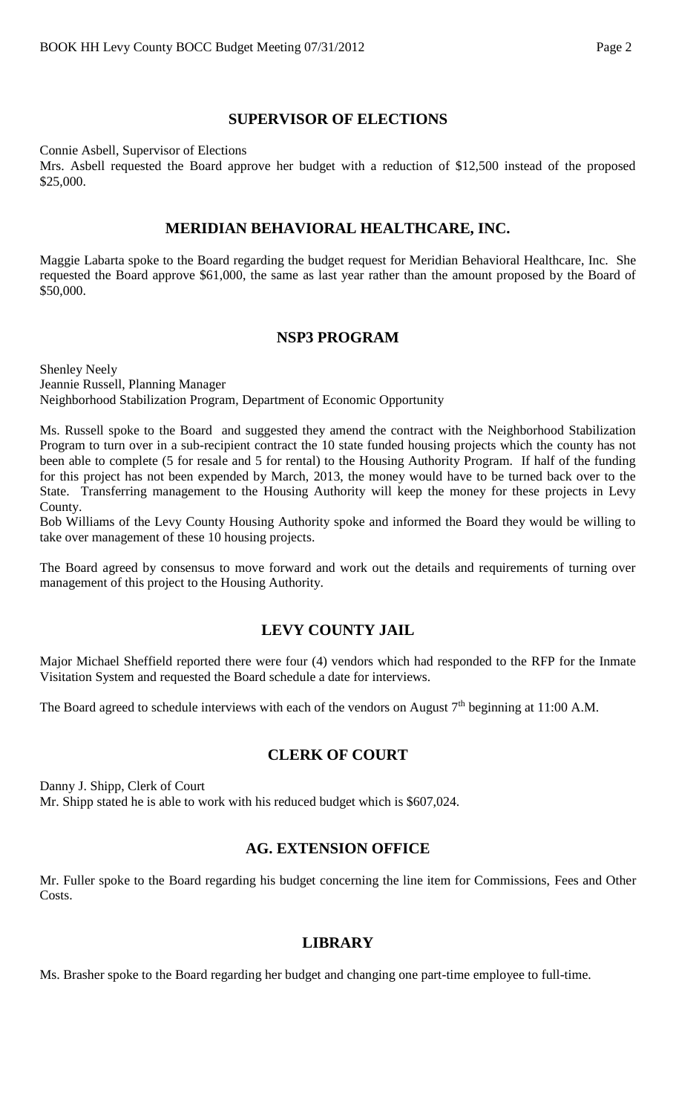# **SUPERVISOR OF ELECTIONS**

Connie Asbell, Supervisor of Elections

Mrs. Asbell requested the Board approve her budget with a reduction of \$12,500 instead of the proposed \$25,000.

## **MERIDIAN BEHAVIORAL HEALTHCARE, INC.**

Maggie Labarta spoke to the Board regarding the budget request for Meridian Behavioral Healthcare, Inc. She requested the Board approve \$61,000, the same as last year rather than the amount proposed by the Board of \$50,000.

## **NSP3 PROGRAM**

Shenley Neely Jeannie Russell, Planning Manager Neighborhood Stabilization Program, Department of Economic Opportunity

Ms. Russell spoke to the Board and suggested they amend the contract with the Neighborhood Stabilization Program to turn over in a sub-recipient contract the 10 state funded housing projects which the county has not been able to complete (5 for resale and 5 for rental) to the Housing Authority Program. If half of the funding for this project has not been expended by March, 2013, the money would have to be turned back over to the State. Transferring management to the Housing Authority will keep the money for these projects in Levy County.

Bob Williams of the Levy County Housing Authority spoke and informed the Board they would be willing to take over management of these 10 housing projects.

The Board agreed by consensus to move forward and work out the details and requirements of turning over management of this project to the Housing Authority.

# **LEVY COUNTY JAIL**

Major Michael Sheffield reported there were four (4) vendors which had responded to the RFP for the Inmate Visitation System and requested the Board schedule a date for interviews.

The Board agreed to schedule interviews with each of the vendors on August  $7<sup>th</sup>$  beginning at 11:00 A.M.

# **CLERK OF COURT**

Danny J. Shipp, Clerk of Court Mr. Shipp stated he is able to work with his reduced budget which is \$607,024.

# **AG. EXTENSION OFFICE**

Mr. Fuller spoke to the Board regarding his budget concerning the line item for Commissions, Fees and Other Costs.

## **LIBRARY**

Ms. Brasher spoke to the Board regarding her budget and changing one part-time employee to full-time.